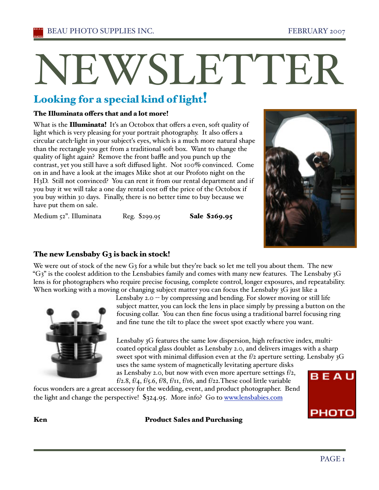# NEWSLETTEI

# Looking for a special kind of light!

#### The Illuminata offers that and a lot more!

What is the **Illuminata!** It's an Octobox that offers a even, soft quality of light which is very pleasing for your portrait photography. It also offers a circular catch-light in your subjecťs eyes, which is a much more natural shape than the rectangle you get from a traditional soft box. Want to change the quality of light again? Remove the front baffle and you punch up the contrast, yet you still have a soft diffused light. Not 100% convinced. Come on in and have a look at the images Mike shot at our Profoto night on the H3D. Still not convinced? You can rent it from our rental department and if you buy it we will take a one day rental cost off the price of the Octobox if you buy within 30 days. Finally, there is no better time to buy because we have put them on sale.



Medium 52". Illuminata Reg. \$299.95 **Sale \$269.95** 

## The new Lensbaby G3 is back in stock!

We were out of stock of the new G<sub>3</sub> for a while but they're back so let me tell you about them. The new " $G_3$ " is the coolest addition to the Lensbabies family and comes with many new features. The Lensbaby  $3G$ lens is for photographers who require precise focusing, complete control, longer exposures, and repeatability. When working with a moving or changing subject matter you can focus the Lensbaby 3G just like a



Lensbaby 2.0  $-$  by compressing and bending. For slower moving or still life subject matter, you can lock the lens in place simply by pressing a button on the focusing collar. You can then fine focus using a traditional barrel focusing ring and fine tune the tilt to place the sweet spot exactly where you want.

Lensbaby 3G features the same low dispersion, high refractive index, multicoated optical glass doublet as Lensbaby 2.0, and delivers images with a sharp sweet spot with minimal diffusion even at the f/2 aperture setting. Lensbaby 3G uses the same system of magnetically levitating aperture disks as Lensbaby 2.0, but now with even more aperture settings f/2,

f/2.8, f/4, f/5.6, f/8, f/11, f/16, and f/22. These cool little variable

focus wonders are a great accessory for the wedding, event, and product photographer. Bend the light and change the perspective! \$324.95. More info? Go to www.lensbabies.com



#### Ken **Product Sales and Purchasing**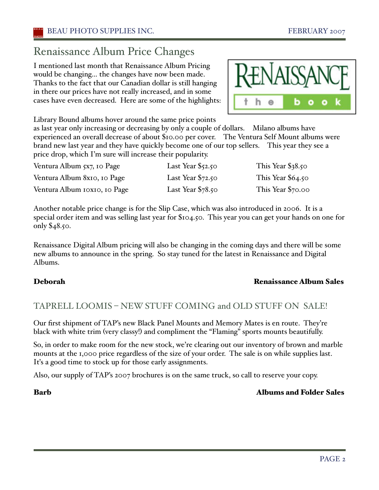# Renaissance Album Price Changes

I mentioned last month that Renaissance Album Pricing would be changing… the changes have now been made. Thanks to the fact that our Canadian dollar is still hanging in there our prices have not really increased, and in some cases have even decreased. Here are some of the highlights:

Library Bound albums hover around the same price points

as last year only increasing or decreasing by only a couple of dollars. Milano albums have experienced an overall decrease of about \$10.00 per cover. The Ventura Self Mount albums were brand new last year and they have quickly become one of our top sellers. This year they see a price drop, which I'm sure will increase their popularity.

| Ventura Album 5x7, 10 Page   | Last Year $\S$ 52.50 | This Year $$38.50$ |
|------------------------------|----------------------|--------------------|
| Ventura Album 8x10, 10 Page  | Last Year $$72.50$   | This Year $$64.50$ |
| Ventura Album IOXIO, IO Page | Last Year $$78.50$   | This Year \$70.00  |

Another notable price change is for the Slip Case, which was also introduced in 2006. It is a special order item and was selling last year for \$104.50. This year you can get your hands on one for only \$48.50.

Renaissance Digital Album pricing will also be changing in the coming days and there will be some new albums to announce in the spring. So stay tuned for the latest in Renaissance and Digital Albums.

#### Deborah Renaissance Album Sales

## TAPRELL LOOMIS – NEW STUFF COMING and OLD STUFF ON SALE!

Our first shipment of TAP's new Black Panel Mounts and Memory Mates is en route. They're black with white trim (very classy!) and compliment the "Flaming" sports mounts beautifully.

So, in order to make room for the new stock, we're clearing out our inventory of brown and marble mounts at the 1,000 price regardless of the size of your order. The sale is on while supplies last. It's a good time to stock up for those early assignments.

Also, our supply of TAP's 2007 brochures is on the same truck, so call to reserve your copy.

#### Barb Albums and Folder Sales

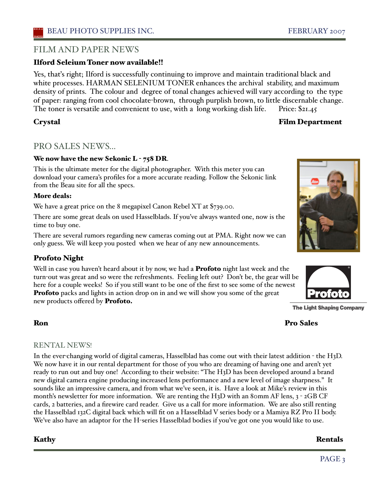#### Ilford Seleium Toner now available!!

Yes, thaťs right; Ilford is successfully continuing to improve and maintain traditional black and white processes. HARMAN SELENIUM TONER enhances the archival stability, and maximum density of prints. The colour and degree of tonal changes achieved will vary according to the type of paper: ranging from cool chocolate-brown, through purplish brown, to little discernable change. The toner is versatile and convenient to use, with a long working dish life. Price: \$21.45

## Crystal Film Department

## PRO SALES NEWS...

#### We now have the new Sekonic L - 758 DR.

This is the ultimate meter for the digital photographer. With this meter you can download your camera's profiles for a more accurate reading. Follow the Sekonic link from the Beau site for all the specs.

#### More deals:

We have a great price on the 8 megapixel Canon Rebel XT at \$739.00.

There are some great deals on used Hasselblads. If you've always wanted one, now is the time to buy one.

There are several rumors regarding new cameras coming out at PMA. Right now we can only guess. We will keep you posted when we hear of any new announcements.

#### Profoto Night

Well in case you haven't heard about it by now, we had a **Profoto** night last week and the turn-out was great and so were the refreshments. Feeling left out? Don't be, the gear will be here for a couple weeks! So if you still want to be one of the first to see some of the newest **Profoto** packs and lights in action drop on in and we will show you some of the great new products offered by **Profoto.** 

#### **The Light Shaping Company**

## Ron Pro Sales

#### RENTAL NEWS!

In the ever-changing world of digital cameras, Hasselblad has come out with their latest addition - the H3D. We now have it in our rental department for those of you who are dreaming of having one and aren't yet ready to run out and buy one! According to their website: "The H3D has been developed around a brand new digital camera engine producing increased lens performance and a new level of image sharpness." It sounds like an impressive camera, and from what we've seen, it is. Have a look at Mike's review in this month's newsletter for more information. We are renting the H<sub>3</sub>D with an 80mm AF lens,  $3 - 2GB \text{ CF}$ cards, 2 batteries, and a firewire card reader. Give us a call for more information. We are also still renting the Hasselblad 132C digital back which will fit on a Hasselblad V series body or a Mamiya RZ Pro II body. We've also have an adaptor for the H-series Hasselblad bodies if you've got one you would like to use.

#### Kathy Rentals



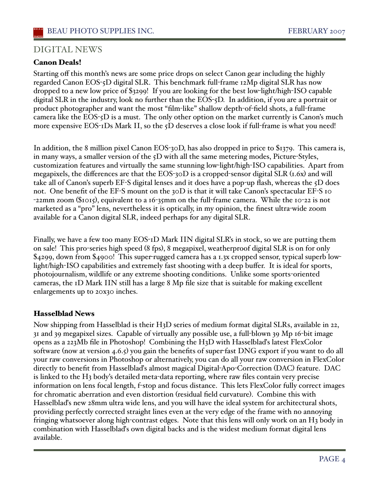### DIGITAL NEWS

#### Canon Deals!

Starting off this month's news are some price drops on select Canon gear including the highly regarded Canon EOS-5D digital SLR. This benchmark full-frame 12Mp digital SLR has now dropped to a new low price of \$3299! If you are looking for the best low-light/high-ISO capable digital SLR in the industry, look no further than the EOS-5D. In addition, if you are a portrait or product photographer and want the most "film-like" shallow depth-of-field shots, a full-frame camera like the EOS-5D is a must. The only other option on the market currently is Canon's much more expensive EOS-1Ds Mark II, so the 5D deserves a close look if full-frame is what you need!

In addition, the 8 million pixel Canon EOS-30D, has also dropped in price to \$1379. This camera is, in many ways, a smaller version of the 5D with all the same metering modes, Picture-Styles, customization features and virtually the same stunning low-light/high-ISO capabilities. Apart from megapixels, the differences are that the EOS-30D is a cropped-sensor digital SLR (1.6x) and will take all of Canon's superb EF-S digital lenses and it does have a pop-up flash, whereas the 5D does not. One benefit of the EF-S mount on the  $30D$  is that it will take Canon's spectacular EF-S 10 -22mm zoom (\$1015), equivalent to a 16-35mm on the full-frame camera. While the 10-22 is not marketed as a "pro" lens, nevertheless it is optically, in my opinion, the finest ultra-wide zoom available for a Canon digital SLR, indeed perhaps for any digital SLR.

Finally, we have a few too many EOS-1D Mark IIN digital SLR's in stock, so we are putting them on sale! This pro-series high speed (8 fps), 8 megapixel, weatherproof digital SLR is on for only \$4299, down from \$4900! This super-rugged camera has a 1.3x cropped sensor, typical superb lowlight/high-ISO capabilities and extremely fast shooting with a deep buffer. It is ideal for sports, photojournalism, wildlife or any extreme shooting conditions. Unlike some sports-oriented cameras, the 1D Mark IIN still has a large 8 Mp file size that is suitable for making excellent enlargements up to 20x30 inches.

#### Hasselblad News

Now shipping from Hasselblad is their H3D series of medium format digital SLRs, available in 22, 31 and 39 megapixel sizes. Capable of virtually any possible use, a full-blown 39 Mp 16-bit image opens as a 223Mb file in Photoshop! Combining the H3D with Hasselblaďs latest FlexColor software (now at version 4.6.5) you gain the benefits of super-fast DNG export if you want to do all your raw conversions in Photoshop or alternatively, you can do all your raw conversion in FlexColor directly to benefit from Hasselblaďs almost magical Digital-Apo-Correction (DAC) feature. DAC is linked to the H3 body's detailed meta-data reporting, where raw files contain very precise information on lens focal length, f-stop and focus distance. This lets FlexColor fully correct images for chromatic aberration and even distortion (residual field curvature). Combine this with Hasselblaďs new 28mm ultra wide lens, and you will have the ideal system for architectural shots, providing perfectly corrected straight lines even at the very edge of the frame with no annoying fringing whatsoever along high-contrast edges. Note that this lens will only work on an H3 body in combination with Hasselblaďs own digital backs and is the widest medium format digital lens available.